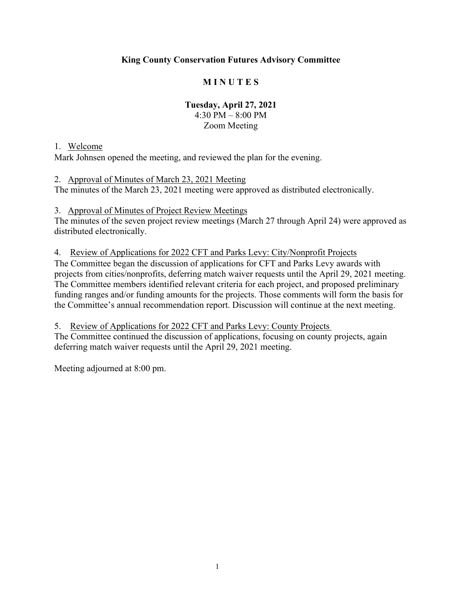## **King County Conservation Futures Advisory Committee**

### **M I N U T E S**

#### **Tuesday, April 27, 2021**  4:30 PM – 8:00 PM Zoom Meeting

#### 1. Welcome

Mark Johnsen opened the meeting, and reviewed the plan for the evening.

#### 2. Approval of Minutes of March 23, 2021 Meeting

The minutes of the March 23, 2021 meeting were approved as distributed electronically.

#### 3. Approval of Minutes of Project Review Meetings

The minutes of the seven project review meetings (March 27 through April 24) were approved as distributed electronically.

#### 4. Review of Applications for 2022 CFT and Parks Levy: City/Nonprofit Projects

The Committee began the discussion of applications for CFT and Parks Levy awards with projects from cities/nonprofits, deferring match waiver requests until the April 29, 2021 meeting. The Committee members identified relevant criteria for each project, and proposed preliminary funding ranges and/or funding amounts for the projects. Those comments will form the basis for the Committee's annual recommendation report. Discussion will continue at the next meeting.

## 5. Review of Applications for 2022 CFT and Parks Levy: County Projects The Committee continued the discussion of applications, focusing on county projects, again

deferring match waiver requests until the April 29, 2021 meeting.

Meeting adjourned at 8:00 pm.